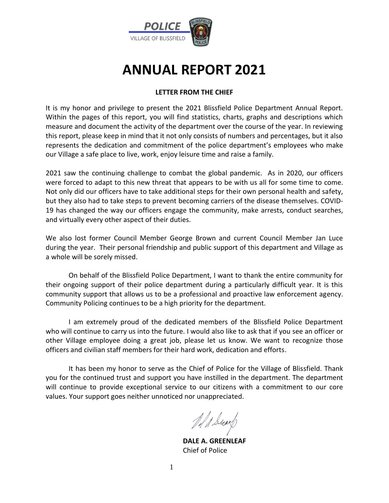

# **ANNUAL REPORT 2021**

#### **LETTER FROM THE CHIEF**

It is my honor and privilege to present the 2021 Blissfield Police Department Annual Report. Within the pages of this report, you will find statistics, charts, graphs and descriptions which measure and document the activity of the department over the course of the year. In reviewing this report, please keep in mind that it not only consists of numbers and percentages, but it also represents the dedication and commitment of the police department's employees who make our Village a safe place to live, work, enjoy leisure time and raise a family.

2021 saw the continuing challenge to combat the global pandemic. As in 2020, our officers were forced to adapt to this new threat that appears to be with us all for some time to come. Not only did our officers have to take additional steps for their own personal health and safety, but they also had to take steps to prevent becoming carriers of the disease themselves. COVID-19 has changed the way our officers engage the community, make arrests, conduct searches, and virtually every other aspect of their duties.

We also lost former Council Member George Brown and current Council Member Jan Luce during the year. Their personal friendship and public support of this department and Village as a whole will be sorely missed.

On behalf of the Blissfield Police Department, I want to thank the entire community for their ongoing support of their police department during a particularly difficult year. It is this community support that allows us to be a professional and proactive law enforcement agency. Community Policing continues to be a high priority for the department.

I am extremely proud of the dedicated members of the Blissfield Police Department who will continue to carry us into the future. I would also like to ask that if you see an officer or other Village employee doing a great job, please let us know. We want to recognize those officers and civilian staff members for their hard work, dedication and efforts.

It has been my honor to serve as the Chief of Police for the Village of Blissfield. Thank you for the continued trust and support you have instilled in the department. The department will continue to provide exceptional service to our citizens with a commitment to our core values. Your support goes neither unnoticed nor unappreciated.

of & sear

**DALE A. GREENLEAF** Chief of Police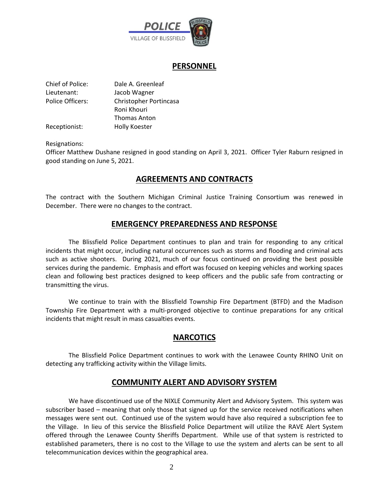

#### **PERSONNEL**

| Chief of Police: | Dale A. Greenleaf      |
|------------------|------------------------|
| Lieutenant:      | Jacob Wagner           |
| Police Officers: | Christopher Portincasa |
|                  | Roni Khouri            |
|                  | Thomas Anton           |
| Receptionist:    | Holly Koester          |

Resignations:

Officer Matthew Dushane resigned in good standing on April 3, 2021. Officer Tyler Raburn resigned in good standing on June 5, 2021.

## **AGREEMENTS AND CONTRACTS**

The contract with the Southern Michigan Criminal Justice Training Consortium was renewed in December. There were no changes to the contract.

#### **EMERGENCY PREPAREDNESS AND RESPONSE**

The Blissfield Police Department continues to plan and train for responding to any critical incidents that might occur, including natural occurrences such as storms and flooding and criminal acts such as active shooters. During 2021, much of our focus continued on providing the best possible services during the pandemic. Emphasis and effort was focused on keeping vehicles and working spaces clean and following best practices designed to keep officers and the public safe from contracting or transmitting the virus.

We continue to train with the Blissfield Township Fire Department (BTFD) and the Madison Township Fire Department with a multi-pronged objective to continue preparations for any critical incidents that might result in mass casualties events.

#### **NARCOTICS**

The Blissfield Police Department continues to work with the Lenawee County RHINO Unit on detecting any trafficking activity within the Village limits.

#### **COMMUNITY ALERT AND ADVISORY SYSTEM**

We have discontinued use of the NIXLE Community Alert and Advisory System. This system was subscriber based – meaning that only those that signed up for the service received notifications when messages were sent out. Continued use of the system would have also required a subscription fee to the Village. In lieu of this service the Blissfield Police Department will utilize the RAVE Alert System offered through the Lenawee County Sheriffs Department. While use of that system is restricted to established parameters, there is no cost to the Village to use the system and alerts can be sent to all telecommunication devices within the geographical area.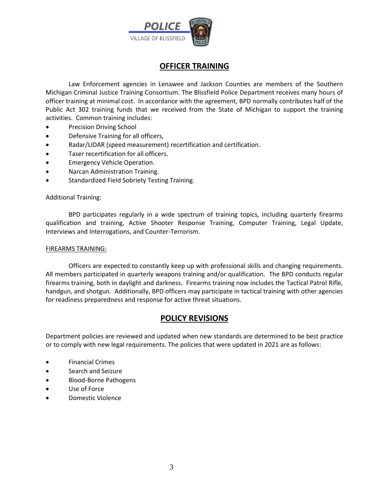

## **OFFICER TRAINING**

Law Enforcement agencies in Lenawee and Jackson Counties are members of the Southern Michigan Criminal Justice Training Consortium. The Blissfield Police Department receives many hours of officer training at minimal cost. In accordance with the agreement, BPD normally contributes half of the Public Act 302 training funds that we received from the State of Michigan to support the training activities. Common training includes:

- Precision Driving School
- Defensive Training for all officers,
- Radar/LIDAR (speed measurement) recertification and certification.
- Taser recertification for all officers.
- Emergency Vehicle Operation.
- Narcan Administration Training.
- Standardized Field Sobriety Testing Training.

#### Additional Training:

BPD participates regularly in a wide spectrum of training topics, including quarterly firearms qualification and training, Active Shooter Response Training, Computer Training, Legal Update, Interviews and Interrogations, and Counter-Terrorism.

#### FIREARMS TRAINING:

Officers are expected to constantly keep up with professional skills and changing requirements. All members participated in quarterly weapons training and/or qualification. The BPD conducts regular firearms training, both in daylight and darkness. Firearms training now includes the Tactical Patrol Rifle, handgun, and shotgun. Additionally, BPD officers may participate in tactical training with other agencies for readiness preparedness and response for active threat situations.

#### **POLICY REVISIONS**

Department policies are reviewed and updated when new standards are determined to be best practice or to comply with new legal requirements. The policies that were updated in 2021 are as follows:

- Financial Crimes
- Search and Seizure
- Blood-Borne Pathogens
- Use of Force
- Domestic Violence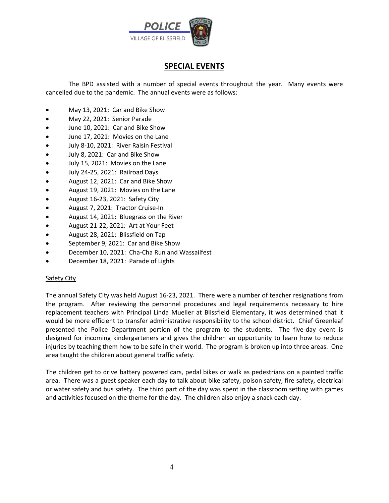

## **SPECIAL EVENTS**

The BPD assisted with a number of special events throughout the year. Many events were cancelled due to the pandemic. The annual events were as follows:

- May 13, 2021: Car and Bike Show
- May 22, 2021: Senior Parade
- June 10, 2021: Car and Bike Show
- June 17, 2021: Movies on the Lane
- July 8-10, 2021: River Raisin Festival
- July 8, 2021: Car and Bike Show
- July 15, 2021: Movies on the Lane
- July 24-25, 2021: Railroad Days
- August 12, 2021: Car and Bike Show
- August 19, 2021: Movies on the Lane
- August 16-23, 2021: Safety City
- August 7, 2021: Tractor Cruise-In
- August 14, 2021: Bluegrass on the River
- August 21-22, 2021: Art at Your Feet
- August 28, 2021: Blissfield on Tap
- September 9, 2021: Car and Bike Show
- December 10, 2021: Cha-Cha Run and Wassailfest
- December 18, 2021: Parade of Lights

#### **Safety City**

The annual Safety City was held August 16-23, 2021. There were a number of teacher resignations from the program. After reviewing the personnel procedures and legal requirements necessary to hire replacement teachers with Principal Linda Mueller at Blissfield Elementary, it was determined that it would be more efficient to transfer administrative responsibility to the school district. Chief Greenleaf presented the Police Department portion of the program to the students. The five-day event is designed for incoming kindergarteners and gives the children an opportunity to learn how to reduce injuries by teaching them how to be safe in their world. The program is broken up into three areas. One area taught the children about general traffic safety.

The children get to drive battery powered cars, pedal bikes or walk as pedestrians on a painted traffic area. There was a guest speaker each day to talk about bike safety, poison safety, fire safety, electrical or water safety and bus safety. The third part of the day was spent in the classroom setting with games and activities focused on the theme for the day. The children also enjoy a snack each day.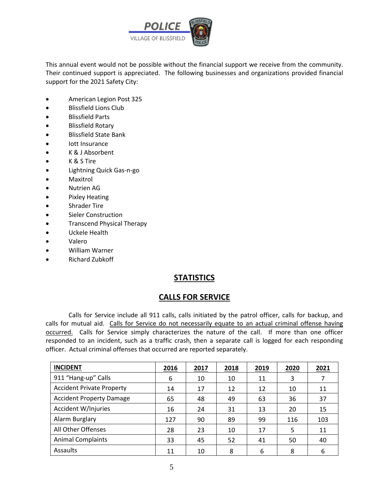

This annual event would not be possible without the financial support we receive from the community. Their continued support is appreciated. The following businesses and organizations provided financial support for the 2021 Safety City:

- American Legion Post 325
- Blissfield Lions Club
- Blissfield Parts
- Blissfield Rotary
- Blissfield State Bank
- Iott Insurance
- K & J Absorbent
- K & S Tire
- Lightning Quick Gas-n-go
- Maxitrol
- Nutrien AG
- Pixley Heating
- Shrader Tire
- Sieler Construction
- Transcend Physical Therapy
- Uckele Health
- Valero
- William Warner
- Richard Zubkoff

#### **STATISTICS**

#### **CALLS FOR SERVICE**

Calls for Service include all 911 calls, calls initiated by the patrol officer, calls for backup, and calls for mutual aid. Calls for Service do not necessarily equate to an actual criminal offense having occurred. Calls for Service simply characterizes the nature of the call. If more than one officer responded to an incident, such as a traffic crash, then a separate call is logged for each responding officer. Actual criminal offenses that occurred are reported separately.

| <b>INCIDENT</b>                  | 2016 | 2017 | 2018 | 2019 | 2020 | 2021 |
|----------------------------------|------|------|------|------|------|------|
| 911 "Hang-up" Calls              | 6    | 10   | 10   | 11   | 3    |      |
| <b>Accident Private Property</b> | 14   | 17   | 12   | 12   | 10   | 11   |
| <b>Accident Property Damage</b>  | 65   | 48   | 49   | 63   | 36   | 37   |
| Accident W/Injuries              | 16   | 24   | 31   | 13   | 20   | 15   |
| Alarm Burglary                   | 127  | 90   | 89   | 99   | 116  | 103  |
| All Other Offenses               | 28   | 23   | 10   | 17   | 5    | 11   |
| <b>Animal Complaints</b>         | 33   | 45   | 52   | 41   | 50   | 40   |
| Assaults                         | 11   | 10   | 8    | 6    | 8    | 6    |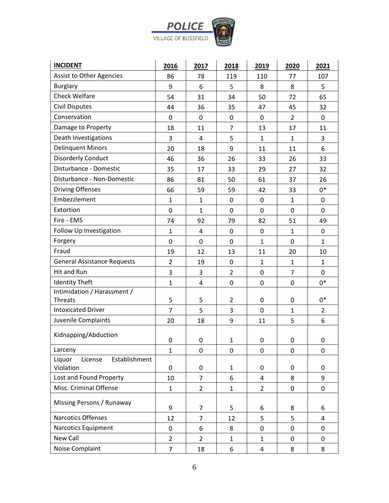

| <b>INCIDENT</b>                                 | 2016           | 2017                    | 2018           | 2019           | 2020           | 2021           |
|-------------------------------------------------|----------------|-------------------------|----------------|----------------|----------------|----------------|
| Assist to Other Agencies                        | 86             | 78                      | 119            | 110            | 77             | 107            |
| <b>Burglary</b>                                 | 9              | 6                       | 5              | 8              | 8              | 5              |
| <b>Check Welfare</b>                            | 54             | 31                      | 34             | 50             | 72             | 65             |
| <b>Civil Disputes</b>                           | 44             | 36                      | 35             | 47             | 45             | 32             |
| Conservation                                    | 0              | 0                       | $\pmb{0}$      | 0              | $\overline{2}$ | 0              |
| Damage to Property                              | 18             | 11                      | $\overline{7}$ | 13             | 17             | 11             |
| Death Investigations                            | 3              | 4                       | 5              | 1              | $\mathbf{1}$   | 3              |
| <b>Delinquent Minors</b>                        | 20             | 18                      | 9              | 11             | 11             | 6              |
| <b>Disorderly Conduct</b>                       | 46             | 36                      | 26             | 33             | 26             | 33             |
| Disturbance - Domestic                          | 35             | 17                      | 33             | 29             | 27             | 32             |
| Disturbance - Non-Domestic                      | 86             | 81                      | 50             | 61             | 37             | 26             |
| <b>Driving Offenses</b>                         | 66             | 59                      | 59             | 42             | 33             | $0*$           |
| Embezzlement                                    | $\mathbf{1}$   | $\mathbf{1}$            | $\mathbf 0$    | $\mathbf 0$    | $\mathbf{1}$   | $\pmb{0}$      |
| Extortion                                       | 0              | $\mathbf{1}$            | $\mathbf 0$    | $\mathbf 0$    | 0              | 0              |
| Fire - EMS                                      | 74             | 92                      | 79             | 82             | 51             | 49             |
| Follow Up Investigation                         | $\mathbf{1}$   | $\overline{4}$          | 0              | $\mathbf 0$    | $\mathbf{1}$   | 0              |
| Forgery                                         | 0              | 0                       | 0              | $\mathbf{1}$   | 0              | $\mathbf{1}$   |
| Fraud                                           | 19             | 12                      | 13             | 11             | 20             | 10             |
| <b>General Assistance Requests</b>              | $\overline{2}$ | 19                      | $\mathbf 0$    | $\mathbf{1}$   | $\mathbf{1}$   | $\mathbf{1}$   |
| Hit and Run                                     | 3              | 3                       | $\overline{2}$ | $\mathbf 0$    | $\overline{7}$ | 0              |
| <b>Identity Theft</b>                           | $\mathbf{1}$   | $\overline{\mathbf{4}}$ | 0              | $\mathbf 0$    | 0              | $0*$           |
| Intimidation / Harassment /                     |                |                         |                |                |                |                |
| <b>Threats</b>                                  | 5              | 5                       | $\overline{2}$ | $\pmb{0}$      | 0              | 0*             |
| <b>Intoxicated Driver</b>                       | $\overline{7}$ | 5                       | 3              | $\mathbf 0$    | $\mathbf{1}$   | $\overline{2}$ |
| Juvenile Complaints                             | 20             | 18                      | 9              | 11             | 5              | 6              |
| Kidnapping/Abduction                            | 0              | 0                       | $\mathbf{1}$   | 0              | 0              | 0              |
| Larceny                                         | $\mathbf{1}$   | 0                       | 0              | 0              | 0              | 0              |
| Liquor<br>Establishment<br>License<br>Violation | 0              | 0                       | $\mathbf{1}$   | 0              | 0              | 0              |
| Lost and Found Property                         | 10             | 7                       | 6              | 4              | 8              | 9              |
| Misc. Criminal Offense                          | $\mathbf{1}$   | $\overline{2}$          | $\mathbf{1}$   | $\overline{2}$ | 0              | 0              |
| Missing Persons / Runaway                       | 9              | 7                       | 5              | 6              | 8              | 6              |
| <b>Narcotics Offenses</b>                       | 12             | $\overline{7}$          | 12             | 5              | 5              | 4              |
| Narcotics Equipment                             | $\mathbf 0$    | 6                       | 8              | $\mathbf 0$    | 0              | 0              |
| New Call                                        | $\overline{2}$ | $\overline{2}$          | $\mathbf{1}$   | $\mathbf{1}$   | 0              | 0              |
| Noise Complaint                                 | $\overline{7}$ | 18                      | 6              | 4              | 8              | 8              |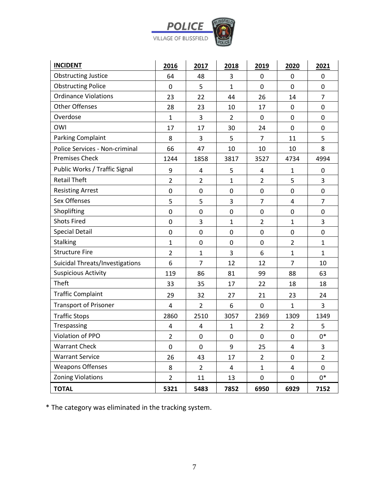

| <b>INCIDENT</b>                 | 2016           | 2017           | 2018           | 2019           | 2020           | 2021           |
|---------------------------------|----------------|----------------|----------------|----------------|----------------|----------------|
| <b>Obstructing Justice</b>      | 64             | 48             | 3              | 0              | 0              | 0              |
| <b>Obstructing Police</b>       | 0              | 5              | $\mathbf{1}$   | 0              | $\mathbf 0$    | 0              |
| <b>Ordinance Violations</b>     | 23             | 22             | 44             | 26             | 14             | $\overline{7}$ |
| <b>Other Offenses</b>           | 28             | 23             | 10             | 17             | 0              | 0              |
| Overdose                        | $\mathbf{1}$   | 3              | $\overline{2}$ | $\mathbf 0$    | 0              | 0              |
| OWI                             | 17             | 17             | 30             | 24             | 0              | 0              |
| <b>Parking Complaint</b>        | 8              | 3              | 5              | $\overline{7}$ | 11             | 5              |
| Police Services - Non-criminal  | 66             | 47             | 10             | 10             | 10             | 8              |
| <b>Premises Check</b>           | 1244           | 1858           | 3817           | 3527           | 4734           | 4994           |
| Public Works / Traffic Signal   | 9              | 4              | 5              | 4              | 1              | $\mathbf 0$    |
| <b>Retail Theft</b>             | $\overline{2}$ | $\overline{2}$ | $\mathbf{1}$   | $\overline{2}$ | 5              | 3              |
| <b>Resisting Arrest</b>         | 0              | 0              | 0              | $\pmb{0}$      | 0              | 0              |
| Sex Offenses                    | 5              | 5              | 3              | $\overline{7}$ | $\overline{4}$ | $\overline{7}$ |
| Shoplifting                     | 0              | 0              | 0              | 0              | 0              | 0              |
| <b>Shots Fired</b>              | 0              | 3              | $\mathbf{1}$   | $\overline{2}$ | $\mathbf{1}$   | 3              |
| <b>Special Detail</b>           | 0              | 0              | 0              | 0              | $\mathbf 0$    | 0              |
| <b>Stalking</b>                 | $\mathbf{1}$   | 0              | 0              | 0              | $\overline{2}$ | $\mathbf{1}$   |
| <b>Structure Fire</b>           | $\overline{2}$ | $\mathbf{1}$   | 3              | 6              | $\mathbf{1}$   | $\mathbf{1}$   |
| Suicidal Threats/Investigations | 6              | $\overline{7}$ | 12             | 12             | $\overline{7}$ | 10             |
| <b>Suspicious Activity</b>      | 119            | 86             | 81             | 99             | 88             | 63             |
| <b>Theft</b>                    | 33             | 35             | 17             | 22             | 18             | 18             |
| <b>Traffic Complaint</b>        | 29             | 32             | 27             | 21             | 23             | 24             |
| <b>Transport of Prisoner</b>    | 4              | $\overline{2}$ | 6              | 0              | $\mathbf{1}$   | 3              |
| <b>Traffic Stops</b>            | 2860           | 2510           | 3057           | 2369           | 1309           | 1349           |
| Trespassing                     | 4              | 4              | $\mathbf{1}$   | $\overline{2}$ | $\overline{2}$ | 5              |
| Violation of PPO                | $\overline{2}$ | 0              | 0              | 0              | 0              | $0^\ast$       |
| <b>Warrant Check</b>            | 0              | 0              | 9              | 25             | 4              | 3              |
| <b>Warrant Service</b>          | 26             | 43             | 17             | $\overline{2}$ | 0              | $\overline{2}$ |
| <b>Weapons Offenses</b>         | 8              | $\overline{2}$ | 4              | $\mathbf{1}$   | 4              | 0              |
| <b>Zoning Violations</b>        | $\overline{2}$ | 11             | 13             | 0              | 0              | $0*$           |
| <b>TOTAL</b>                    | 5321           | 5483           | 7852           | 6950           | 6929           | 7152           |

\* The category was eliminated in the tracking system.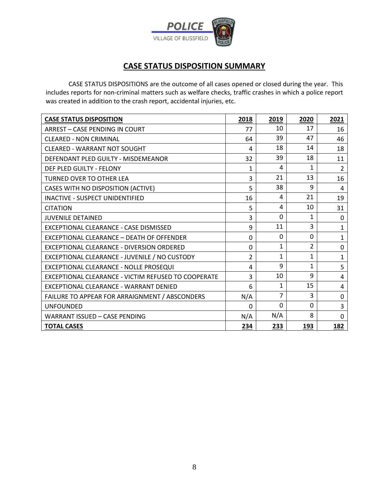

# **CASE STATUS DISPOSITION SUMMARY**

CASE STATUS DISPOSITIONS are the outcome of all cases opened or closed during the year. This includes reports for non-criminal matters such as welfare checks, traffic crashes in which a police report was created in addition to the crash report, accidental injuries, etc.

| <b>CASE STATUS DISPOSITION</b>                      | 2018     | 2019           | 2020           | 2021           |
|-----------------------------------------------------|----------|----------------|----------------|----------------|
| <b>ARREST - CASE PENDING IN COURT</b>               | 77       | 10             | 17             | 16             |
| <b>CLEARED - NON CRIMINAL</b>                       | 64       | 39             | 47             | 46             |
| <b>CLEARED - WARRANT NOT SOUGHT</b>                 | 4        | 18             | 14             | 18             |
| DEFENDANT PLED GUILTY - MISDEMEANOR                 | 32       | 39             | 18             | 11             |
| DEF PLED GUILTY - FELONY                            | 1        | 4              | 1              | $\overline{2}$ |
| <b>TURNED OVER TO OTHER LEA</b>                     | 3        | 21             | 13             | 16             |
| CASES WITH NO DISPOSITION (ACTIVE)                  | 5        | 38             | 9              | 4              |
| <b>INACTIVE - SUSPECT UNIDENTIFIED</b>              | 16       | 4              | 21             | 19             |
| <b>CITATION</b>                                     | 5        | 4              | 10             | 31             |
| <b>JUVENILE DETAINED</b>                            | 3        | 0              | 1              | 0              |
| EXCEPTIONAL CLEARANCE - CASE DISMISSED              | 9        | 11             | 3              | $\mathbf 1$    |
| EXCEPTIONAL CLEARANCE - DEATH OF OFFENDER           | 0        | $\Omega$       | 0              | $\mathbf{1}$   |
| EXCEPTIONAL CLEARANCE - DIVERSION ORDERED           | 0        | $\mathbf{1}$   | $\overline{2}$ | $\mathbf 0$    |
| EXCEPTIONAL CLEARANCE - JUVENILE / NO CUSTODY       | 2        | $\mathbf{1}$   | 1              | $\mathbf{1}$   |
| EXCEPTIONAL CLEARANCE - NOLLE PROSEQUI              | 4        | 9              | $\mathbf{1}$   | 5              |
| EXCEPTIONAL CLEARANCE - VICTIM REFUSED TO COOPERATE | 3        | 10             | 9              | 4              |
| EXCEPTIONAL CLEARANCE - WARRANT DENIED              | 6        | 1              | 15             | 4              |
| FAILURE TO APPEAR FOR ARRAIGNMENT / ABSCONDERS      | N/A      | $\overline{7}$ | 3              | 0              |
| <b>UNFOUNDED</b>                                    | $\Omega$ | 0              | 0              | 3              |
| <b>WARRANT ISSUED - CASE PENDING</b>                | N/A      | N/A            | 8              | 0              |
| <b>TOTAL CASES</b>                                  | 234      | 233            | 193            | 182            |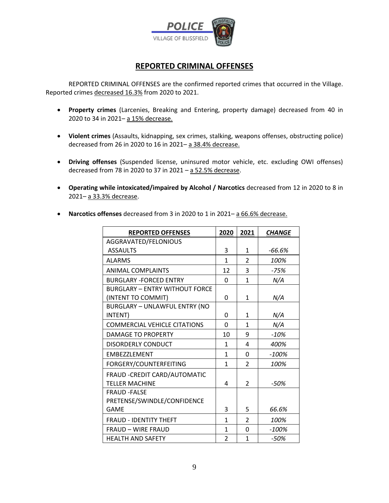

### **REPORTED CRIMINAL OFFENSES**

REPORTED CRIMINAL OFFENSES are the confirmed reported crimes that occurred in the Village. Reported crimes decreased 16.3% from 2020 to 2021.

- **Property crimes** (Larcenies, Breaking and Entering, property damage) decreased from 40 in 2020 to 34 in 2021– a 15% decrease.
- **Violent crimes** (Assaults, kidnapping, sex crimes, stalking, weapons offenses, obstructing police) decreased from 26 in 2020 to 16 in 2021– a 38.4% decrease.
- **Driving offenses** (Suspended license, uninsured motor vehicle, etc. excluding OWI offenses) decreased from 78 in 2020 to 37 in 2021 – a 52.5% decrease.
- **Operating while intoxicated/impaired by Alcohol / Narcotics** decreased from 12 in 2020 to 8 in 2021– a 33.3% decrease.

| <b>REPORTED OFFENSES</b>              | 2020          | 2021           | <b>CHANGE</b> |
|---------------------------------------|---------------|----------------|---------------|
| AGGRAVATED/FELONIOUS                  |               |                |               |
| <b>ASSAULTS</b>                       | 3             | 1              | -66.6%        |
| <b>ALARMS</b>                         | 1             | $\mathfrak{p}$ | 100%          |
| <b>ANIMAL COMPLAINTS</b>              | 12            | 3              | -75%          |
| <b>BURGLARY -FORCED ENTRY</b>         | <sup>0</sup>  | 1              | N/A           |
| <b>BURGLARY - ENTRY WITHOUT FORCE</b> |               |                |               |
| (INTENT TO COMMIT)                    | 0             | 1              | N/A           |
| <b>BURGLARY - UNLAWFUL ENTRY (NO</b>  |               |                |               |
| INTENT)                               | 0             | 1              | N/A           |
| <b>COMMERCIAL VEHICLE CITATIONS</b>   | 0             | 1              | N/A           |
| DAMAGE TO PROPERTY                    | 10            | 9              | $-10\%$       |
| DISORDERLY CONDUCT                    | $\mathbf{1}$  | 4              | 400%          |
| <b>EMBEZZLEMENT</b>                   | 1             | <sup>0</sup>   | $-100%$       |
| FORGERY/COUNTERFEITING                | 1             | $\overline{2}$ | 100%          |
| FRAUD - CREDIT CARD/AUTOMATIC         |               |                |               |
| <b>TELLER MACHINE</b>                 | 4             | $\mathfrak{p}$ | -50%          |
| <b>FRAUD -FALSE</b>                   |               |                |               |
| PRETENSE/SWINDLE/CONFIDENCE           |               |                |               |
| GAME                                  | 3             | 5              | 66.6%         |
| <b>FRAUD - IDENTITY THEFT</b>         | 1             | $\overline{2}$ | 100%          |
| <b>FRAUD - WIRE FRAUD</b>             | 1             | $\Omega$       | $-100%$       |
| <b>HEALTH AND SAFETY</b>              | $\mathfrak z$ | 1              | -50%          |

• **Narcotics offenses** decreased from 3 in 2020 to 1 in 2021– a 66.6% decrease.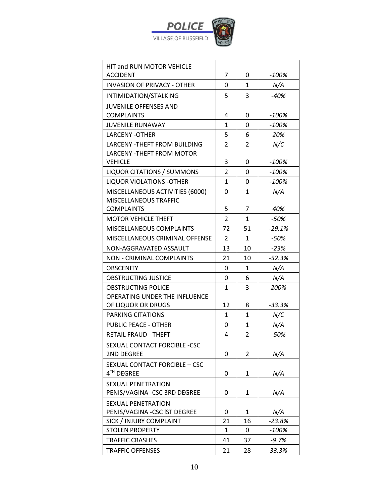

| <b>HIT and RUN MOTOR VEHICLE</b>                           |                |                |          |
|------------------------------------------------------------|----------------|----------------|----------|
| <b>ACCIDENT</b>                                            | $\overline{7}$ | 0              | $-100%$  |
| <b>INVASION OF PRIVACY - OTHER</b>                         | 0              | $\mathbf{1}$   | N/A      |
| INTIMIDATION/STALKING                                      | 5              | 3              | $-40%$   |
| <b>JUVENILE OFFENSES AND</b>                               |                |                |          |
| <b>COMPLAINTS</b>                                          | 4              | 0              | $-100%$  |
| <b>JUVENILE RUNAWAY</b>                                    | 1              | 0              | $-100%$  |
| <b>LARCENY -OTHER</b>                                      | 5              | 6              | 20%      |
| <b>LARCENY - THEFT FROM BUILDING</b>                       | $\overline{2}$ | $\overline{2}$ | N/C      |
| <b>LARCENY - THEFT FROM MOTOR</b>                          |                |                |          |
| <b>VEHICLE</b>                                             | 3              | 0              | $-100%$  |
| <b>LIQUOR CITATIONS / SUMMONS</b>                          | 2              | 0              | $-100%$  |
| <b>LIQUOR VIOLATIONS - OTHER</b>                           | 1              | 0              | $-100%$  |
| MISCELLANEOUS ACTIVITIES (6000)                            | 0              | 1              | N/A      |
| <b>MISCELLANEOUS TRAFFIC</b><br><b>COMPLAINTS</b>          | 5              | 7              | 40%      |
| <b>MOTOR VEHICLE THEFT</b>                                 | $\overline{2}$ | $\mathbf{1}$   | $-50%$   |
|                                                            |                |                |          |
| MISCELLANEOUS COMPLAINTS                                   | 72             | 51             | $-29.1%$ |
| MISCELLANEOUS CRIMINAL OFFENSE                             | $\overline{2}$ | $\mathbf{1}$   | $-50%$   |
| NON-AGGRAVATED ASSAULT                                     | 13             | 10             | $-23%$   |
| <b>NON - CRIMINAL COMPLAINTS</b>                           | 21             | 10             | $-52.3%$ |
| <b>OBSCENITY</b>                                           | 0              | $\mathbf{1}$   | N/A      |
| <b>OBSTRUCTING JUSTICE</b>                                 | 0              | 6              | N/A      |
| <b>OBSTRUCTING POLICE</b><br>OPERATING UNDER THE INFLUENCE | 1              | 3              | 200%     |
| OF LIQUOR OR DRUGS                                         | 12             | 8              | $-33.3%$ |
| <b>PARKING CITATIONS</b>                                   | $\mathbf{1}$   | 1              | N/C      |
| <b>PUBLIC PEACE - OTHER</b>                                | 0              | $\mathbf{1}$   | N/A      |
| <b>RETAIL FRAUD - THEFT</b>                                | 4              | $\overline{2}$ | $-50%$   |
| SEXUAL CONTACT FORCIBLE -CSC                               |                |                |          |
| 2ND DEGREE                                                 | 0              | $\overline{2}$ | N/A      |
| SEXUAL CONTACT FORCIBLE - CSC                              |                |                |          |
| 4TH DEGREE                                                 | 0              | 1              | N/A      |
| <b>SEXUAL PENETRATION</b>                                  |                |                |          |
| PENIS/VAGINA -CSC 3RD DEGREE                               | 0              | 1              | N/A      |
| <b>SEXUAL PENETRATION</b>                                  |                |                |          |
| PENIS/VAGINA - CSC IST DEGREE                              | 0              | 1              | N/A      |
| SICK / INJURY COMPLAINT                                    | 21             | 16             | $-23.8%$ |
| <b>STOLEN PROPERTY</b>                                     | 1              | 0              | -100%    |
| <b>TRAFFIC CRASHES</b>                                     | 41             | 37             | $-9.7%$  |
| <b>TRAFFIC OFFENSES</b>                                    | 21             | 28             | 33.3%    |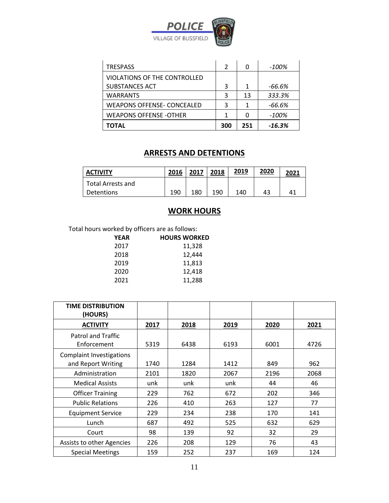

| <b>TRESPASS</b>                   | 2   |     | -100%    |
|-----------------------------------|-----|-----|----------|
| VIOLATIONS OF THE CONTROLLED      |     |     |          |
| <b>SUBSTANCES ACT</b>             | 3   | 1   | -66.6%   |
| <b>WARRANTS</b>                   | 3   | 13  | 333.3%   |
| <b>WEAPONS OFFENSE- CONCEALED</b> | 3   |     | -66.6%   |
| <b>WEAPONS OFFENSE -OTHER</b>     | 1   |     | -100%    |
| ΤΟΤΑL                             | 300 | 251 | $-16.3%$ |

## **ARRESTS AND DETENTIONS**

| <b>ACTIVITY</b>   | 2016 | 2017 | 2018 | 2019 | 2020 | 2021 |
|-------------------|------|------|------|------|------|------|
| Total Arrests and |      |      |      |      |      |      |
| <b>Detentions</b> | 190  | 180  | 190  | 140  | 43   | 41   |

## **WORK HOURS**

Total hours worked by officers are as follows:

| <b>YEAR</b> | <b>HOURS WORKED</b> |
|-------------|---------------------|
| 2017        | 11,328              |
| 2018        | 12,444              |
| 2019        | 11,813              |
| 2020        | 12,418              |
| 2021        | 11,288              |

| <b>TIME DISTRIBUTION</b><br>(HOURS)                   |      |      |      |      |      |
|-------------------------------------------------------|------|------|------|------|------|
| <b>ACTIVITY</b>                                       | 2017 | 2018 | 2019 | 2020 | 2021 |
| <b>Patrol and Traffic</b><br>Enforcement              | 5319 | 6438 | 6193 | 6001 | 4726 |
| <b>Complaint Investigations</b><br>and Report Writing | 1740 | 1284 | 1412 | 849  | 962  |
| Administration                                        | 2101 | 1820 | 2067 | 2196 | 2068 |
| <b>Medical Assists</b>                                | unk  | unk  | unk  | 44   | 46   |
| <b>Officer Training</b>                               | 229  | 762  | 672  | 202  | 346  |
| <b>Public Relations</b>                               | 226  | 410  | 263  | 127  | 77   |
| <b>Equipment Service</b>                              | 229  | 234  | 238  | 170  | 141  |
| Lunch                                                 | 687  | 492  | 525  | 632  | 629  |
| Court                                                 | 98   | 139  | 92   | 32   | 29   |
| Assists to other Agencies                             | 226  | 208  | 129  | 76   | 43   |
| <b>Special Meetings</b>                               | 159  | 252  | 237  | 169  | 124  |